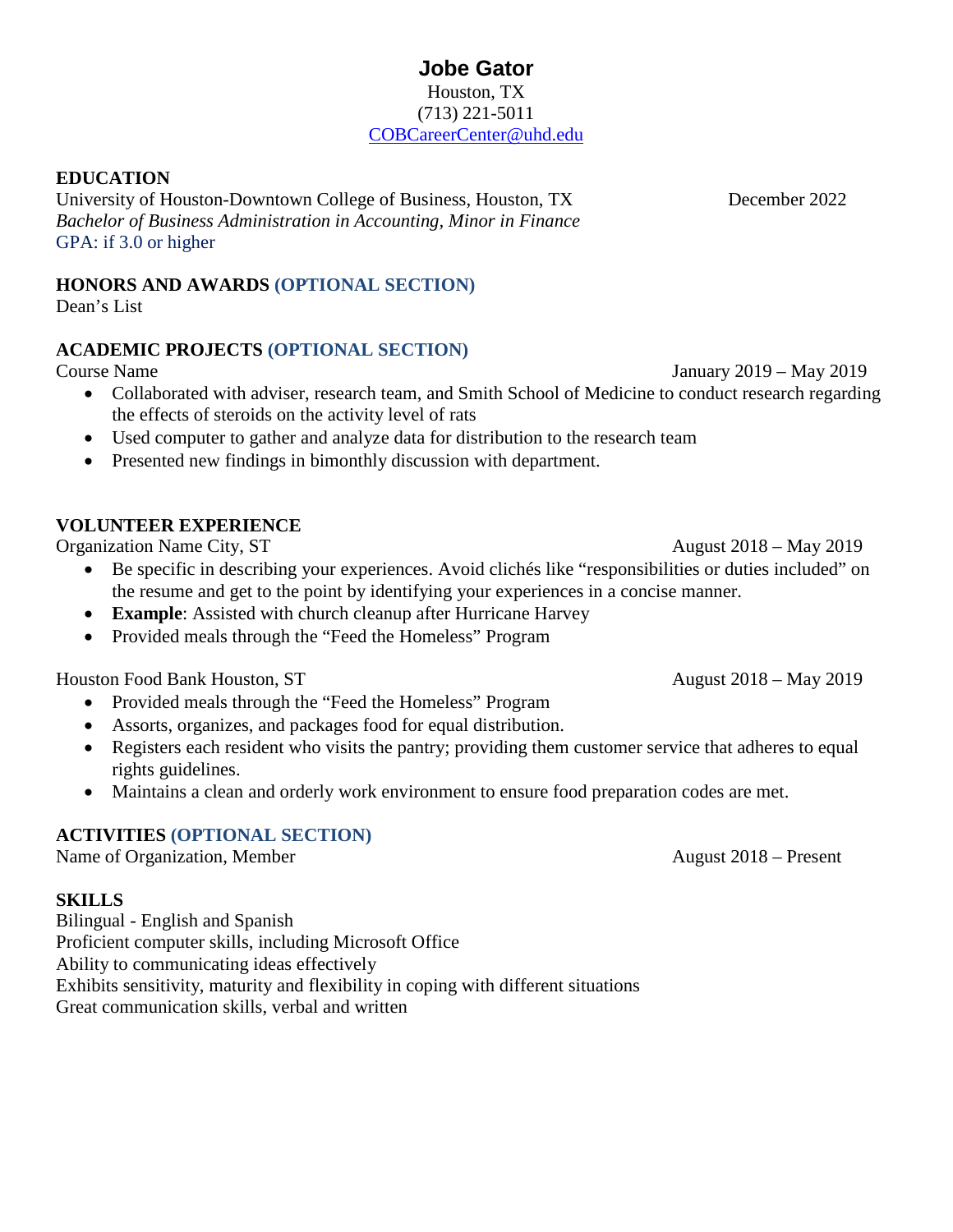#### **Jobe Gator** Houston, TX (713) 221-5011 [COBCareerCenter@uhd.edu](mailto:COBCareerCenter@uhd.edu)

#### **EDUCATION**

University of Houston-Downtown College of Business, Houston, TX December 2022 *Bachelor of Business Administration in Accounting, Minor in Finance* GPA: if 3.0 or higher

# **HONORS AND AWARDS (OPTIONAL SECTION)**

Dean's List

## **ACADEMIC PROJECTS (OPTIONAL SECTION)**

Course Name January 2019 – May 2019

- Collaborated with adviser, research team, and Smith School of Medicine to conduct research regarding the effects of steroids on the activity level of rats
- Used computer to gather and analyze data for distribution to the research team
- Presented new findings in bimonthly discussion with department.

## **VOLUNTEER EXPERIENCE**

Organization Name City, ST August 2018 – May 2019

- Be specific in describing your experiences. Avoid clichés like "responsibilities or duties included" on the resume and get to the point by identifying your experiences in a concise manner.
- **Example**: Assisted with church cleanup after Hurricane Harvey
- Provided meals through the "Feed the Homeless" Program

Houston Food Bank Houston, ST August 2018 – May 2019

- Provided meals through the "Feed the Homeless" Program
- Assorts, organizes, and packages food for equal distribution.
- Registers each resident who visits the pantry; providing them customer service that adheres to equal rights guidelines.
- Maintains a clean and orderly work environment to ensure food preparation codes are met.

## **ACTIVITIES (OPTIONAL SECTION)**

Name of Organization, Member August 2018 – Present

#### **SKILLS**

Bilingual - English and Spanish Proficient computer skills, including Microsoft Office Ability to communicating ideas effectively Exhibits sensitivity, maturity and flexibility in coping with different situations Great communication skills, verbal and written